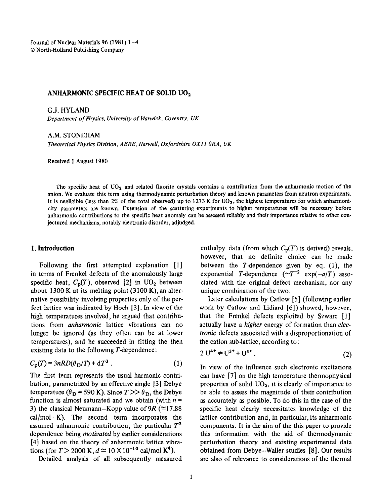Journal of Nuclear Materials 96 (1981) l-4 0 North-Holland PubIlsbing Company

## ANHARMONIC SPECIFIC HEAT OF SOLID  $UO<sub>2</sub>$

G.J. HYLAND

*Department of Physics, University of Warwick, Coventry, UK* 

A.M. STONEHAM

*Theoretical Physics Division, AERE, Hameli, Oxfordshire OXI I ORA, UK* 

Received 1 August 1980

The specific heat of  $UO<sub>2</sub>$  and related fluorite crystals contains a contribution from the anharmonic motion of the anion. We evaluate this term using thermodynamic perturbation theory and known parameters from neutron experiments. It is negligible (less than 2% of the total observed) up to 1273 K for  $UO<sub>2</sub>$ , the highest temperatures for which anharmonicity parameters are known. Extension of the scattering experiments to higher temperatures will be necessary before anharmonic contributions to the specific heat anomaly can be assessed reliably and their importance relative to other conjectured mechanisms, notably electronic disorder, adjudged.

## 1. Introduction

Following the first attempted explanation [l] in terms of Frenkel defects of the anomalously large specific heat,  $C_p(T)$ , observed [2] in UO<sub>2</sub> between about 1300 K at its melting point (3100 K), an alternative possibility involving properties only of the perfect lattice was indicated by Hoch [3]. In view of the high temperatures involved, he argued that contributions from *anharmonic* lattice vibrations can no longer be ignored (as they often can be at lower temperatures), and he succeeded in fitting the then existing data to the following  $T$ -dependence:

$$
C_{\mathbf{p}}(T) = 3nRD(\theta_{\mathbf{D}}/T) + dT^3 \tag{1}
$$

The first term represents the usual harmonic contribution, parametrized by an effective single [3] Debye temperature ( $\theta_{\rm D}$  = 590 K). Since  $T \gg \theta_{\rm D}$ , the Debye function is almost saturated and we obtain (with  $n =$ 3) the classical Neumann-Kopp value of 9R ( $\simeq$ 17.88  $cal/mol \cdot K$ ). The second term incorporates the assumed anharmonic contribution, the particular *T3*  dependence being *motivated* by earlier considerations  $[4]$  based on the theory of anharmonic lattice vibrations (for  $T > 2000 \text{ K}$ ,  $d \approx 10 \times 10^{-10} \text{ cal/mol K}^4$ ).

Detailed analysis of all subsequently measured

enthalpy data (from which  $C_p(T)$  is derived) reveals, however, that no definite choice can be made between the  $T$ -dependence given by eq.  $(1)$ , the exponential T-dependence  $(-T^{-2} \exp(-a/T))$  associated with the original defect mechanism, nor any unique combination of the two.

Later calculations by Catlow [5] (following earlier work by Catlow and Lidiard [6]) showed, however, that the Frenkel defects exploited by Szwarc [l] actually have a *higher* energy of formation than elec*tronic* defects associated with a disproportionation of the cation sub-lattice, according to:

$$
2 U^{4+} \rightleftharpoons U^{3+} + U^{5+} \tag{2}
$$

In view of the influence such electronic excitations can have [7] on the high temperature thermophysical properties of solid  $UO<sub>2</sub>$ , it is clearly of importance to be able to assess the magnitude of their contribution as accurately as possible. To do this in the case of the specific heat clearly necessitates knowledge of the lattice contribution and, in particular, its anharmonic components. It is the aim of the this paper to provide this information with the aid of thermodynamic perturbation theory and existing experimental data obtained from Debye-Wailer studies [8]. Our results are also of relevance to considerations of the thermal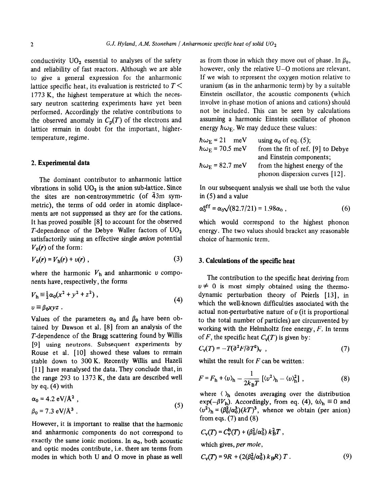conductivity  $UO<sub>2</sub>$  essential to analyses of the safety and reliability of fast reactors. Although we are able to give a general expression for the anharmonic lattice specific heat, its evaluation is restricted to *T <*  1773 K, the highest temperature at which the necessary neutron scattering experiments have yet been performed. Accordingly the relative contributions to the observed anomaly in  $C_p(T)$  of the electrons and lattice remain in doubt for the important, highertemperature, regime.

## 2. **Experimental data**

The dominant contributor to anharmonic lattice vibrations in solid  $UO<sub>2</sub>$  is the anion sub-lattice. Since the sites are non-centrosymmetric (of  $\overline{4}3m$  symmetric), the terms of odd order in atomic displacements are not suppressed as they are for the cations. It has proved possible IS] to account for the observed T-dependence of the Debye-Waller factors of  $UO_2$ satisfactorily using an effective single *anion* potential  $V_0(r)$  of the form:

$$
V_0(r) = V_h(r) + v(r) , \qquad (3)
$$

where the harmonic  $V<sub>h</sub>$  and anharmonic v components have, respectively, the forms

$$
Vh \equiv \frac{1}{2} \alpha_0 (x^2 + y^2 + z^2) ,
$$
  
\n
$$
v \equiv \beta_0 x y z .
$$
 (4)

Values of the parameters  $\alpha_0$  and  $\beta_0$  have been obtained by Dawson et al. [B] from an analysis of the T-dependence of the Bragg scattering found by Willis [9] using neutrons. Subsequent experiments by Rouse et al. [10] showed these values to remain stable down to 300 K. Recently Willis and Hazel1 [11] have reanalysed the data. They conclude that, in the range 293 to 1373 K, the data are described well by eq. (4) with

$$
\alpha_0 = 4.2 \text{ eV/A}^2 ,
$$
  
\n
$$
\beta_0 = 7.3 \text{ eV/A}^3 .
$$
 (5)

However, it is important to realise that the harmonic and anharmonic components do not correspond to exactly the same ionic motions. In  $\alpha_0$ , both acoustic and optic modes contribute, i.e. there are terms from modes in which both U and 0 move in phase as well

as from those in which they move out of phase. In  $\beta_0$ , however, only the relative U-O motions are relevant. If we wish to represent the oxygen motion relative to uranium (as in the anharmonic term) by by a suitable Einstein oscillator, the acoustic components (which involve in-phase motion of anions and cations) should not be included. This can be seen by calculations assuming a harmonic Einstein oscillator of phonon energy  $\hbar \omega_F$ . We may deduce these values:

| $\hbar\omega_{\rm E}$ = 21 meV   | using $\alpha_0$ of eq. (5);      |
|----------------------------------|-----------------------------------|
| $\hbar\omega_{\rm E}$ = 70.5 meV | from the fit of ref. [9] to Debye |
|                                  | and Einstein components;          |
| $\hbar\omega_F = 82.7$ meV       | from the highest energy of the    |
|                                  | phonon dispersion curves [12].    |

In our subsequent analysis we shall use both the value in (5) and a value

$$
\alpha_0^{\text{eff}} = \alpha_0 \sqrt{(82.7/21)} = 1.98 \alpha_0 , \qquad (6)
$$

which would correspond to the highest phonon energy. The two values should bracket any reasonable choice of harmonic term.

# 3. **Calculations of the specific heat**

The contribution to the specific heat deriving from  $v \neq 0$  is most simply obtained using the thermodynamic perturbation theory of Peierls [13], in which the well-known difficulties associated with the actual non-perturbative nature of  $\nu$  (it is proportional to the total number of particles) are circumvented by working with the Hehnholtz free energy, *F.* In terms of *F*, the specific heat  $C_{\nu}(T)$  is given by:

$$
C_{\mathbf{v}}(T) = -T(\partial^2 F/\partial T^2)_{\mathbf{v}} \quad , \tag{7}
$$

whilst the result for *F can* be written:

$$
F = F_h + \langle v \rangle_h - \frac{1}{2k_B T} \left[ \langle v^2 \rangle_h - \langle v \rangle_h^2 \right], \tag{8}
$$

where  $\langle \rangle_h$  denotes averaging over the distribution  $exp(-\beta V_h)$ . Accordingly, from eq. (4),  $\langle v \rangle_h \equiv 0$  and  $\langle v^2 \rangle$ <sub>h</sub> =  $(\beta_0^2/\alpha_0^3)(kT)^3$ , whence we obtain (per anion) from eqs.  $(7)$  and  $(8)$ 

$$
C_{\rm v}(T) = C_{\rm v}^{\rm h}(T) + (\beta_0^2/\alpha_0^3) k_B^2 T,
$$
  
which gives, *per mole*,

$$
C_{\rm V}(T) = 9R + (2(\beta_0^2/\alpha_0^3) k_{\rm B}R) T. \tag{9}
$$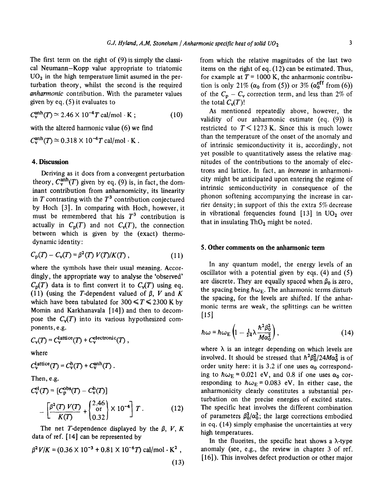The first term on the right of (9) is simply the classical Neumann-Kopp value appropriate to triatomic  $UO<sub>2</sub>$  in the high temperature limit asumed in the perturbation theory, whilst the second is the required *anharmonic* contribution. With the parameter values given by eq. (5) it evaluates to

 $C_v^{\text{anh}}(T) \approx 2.46 \times 10^{-4} T \text{ cal/mol} \cdot \text{K}$ ; (10)

with the altered harmonic value (6) we find

 $C_v^{\text{anh}}(T) \approx 0.318 \times 10^{-4} T \text{ cal/mol} \cdot \text{K}$ .

# 4. **Discussion**

**Deriving** as it does from a convergent perturbation theory,  $C_{\rm v}^{\rm anh}(T)$  given by eq. (9) is, in fact, the dominant contribution from anharnomicity, its linearity in  $T$  contrasting with the  $T^3$  contribution conjectured by Hoch [3]. In comparing with Hoch, however, it must be remembered that his  $T<sup>3</sup>$  contribution is actually in  $C_p(T)$  and not  $C_p(T)$ , the connection between which is given by the (exact) thermodynamic identity:

$$
C_{\rm p}(T) - C_{\rm v}(T) = \beta^2(T) V(T)/K(T) , \qquad (11)
$$

where the symbols have their usual meaning. Accordingly, the appropriate way to analyse the 'observed'  $C_p(T)$  data is to first convert it to  $C_p(T)$  using eq. (11) (using the T-dependent valued of  $\beta$ , V and K which have been tabulated for  $300 \le T \le 2300$  K by Momin and Karkhanavala [14]) and then to decompose the  $C_v(T)$  into its various hypothesized components, e.g.

$$
C_{\rm v}(T) = C_{\rm v}^{\rm lattice}(T) + C_{\rm v}^{\rm electronic}(T) ,
$$

where

$$
C_{\rm v}^{\rm lattice}(T)=C_{\rm v}^{\rm h}(T)+C_{\rm v}^{\rm anh}(T)\ .
$$

Then, e.g.

$$
C_{\rm v}^{\rm el}(T) = [C_{\rm p}^{\rm obs}(T) - C_{\rm v}^{\rm h}(T)]
$$
  
 
$$
- \left[ \frac{\beta^2(T) V(T)}{K(T)} + \begin{pmatrix} 2.46 \\ \text{or} \\ 0.32 \end{pmatrix} \times 10^{-4} \right] T.
$$
 (12)

The net T-dependence displayed by the  $\beta$ , *V*, *K* data of ref.  $[14]$  can be represented by

$$
\beta^2 V/K = (0.36 \times 10^{-3} + 0.81 \times 10^{-6} T) \text{ cal/mol} \cdot \text{K}^2 ,
$$
\n(13)

from which the relative magnitudes of the last two items on the right of eq. (12) can be estimated. Thus, for example at  $T = 1000$  K, the anharmonic contribution is only 21%  $(\alpha_0 \text{ from (5)})$  or 3%  $(\alpha_0^{\text{eff}} \text{ from (6)})$ of the  $C_p - C_v$  correction term, and less than 2% of the total  $C_v(T)!$ 

As mentioned repeatedly above, however, the validity of our anharmonic estimate (eq. (9)) is restricted to  $T < 1273$  K. Since this is much lower than the temperature of the onset of the anomaly and of intrinsic semiconductivity it is, accordingly, not yet possible to quantitatively assess the relative magnitudes of the contributions to the anomaly of electrons and lattice. In fact, an *increase* in anharmonicity might be anticipated upon entering the regime of intrinsic semiconductivity in consequence of the phonon softening accompanying the increase in carrier density; in support of this the extra 5% decrease in vibrational frequencies found  $[13]$  in UO<sub>2</sub> over that in insulating ThO<sub>2</sub> might be noted.

## **5. Other comments on the anharmonic term**

In any quantum model, the energy levels of an oscillator with a potential given by eqs. (4) and (5) are discrete. They are equally spaced when  $\beta_0$  is zero, the spacing being  $\hbar\omega_E$ . The anharmonic terms disturb the spacing, for the levels are shifted. If the anharmanic terms are weak, the splittings can be written [15]

$$
\hbar\omega = \hbar\omega_{\rm E}\left(1 - \frac{1}{24}\lambda\frac{\hbar^2\beta_0^2}{M\alpha_0^2}\right),\tag{14}
$$

where  $\lambda$  is an integer depending on which levels are involved. It should be stressed that  $\hbar^2 \beta_0^2/24M\alpha_0^2$  is of order unity here: it is 3.2 if one uses  $\alpha_0$  corresponding to  $\hbar\omega_E = 0.021$  eV, and 0.8 if one uses  $\alpha_0$  corresponding to  $\hbar\omega_E = 0.083$  eV. In either case, the anharmonicity clearly constitutes a substantial perturbation on the precise energies of excited states. The specific heat involves the different combination of parameters  $\beta_0^2/\alpha_0^3$ ; the large corrections embodied in eq. (14) simply emphasise the uncertainties at very high temperatures.

In the fluorites, the specific heat shows a  $\lambda$ -type anomaly (see, e.g., the review in chapter 3 of ref. [16]). This involves defect production or other major